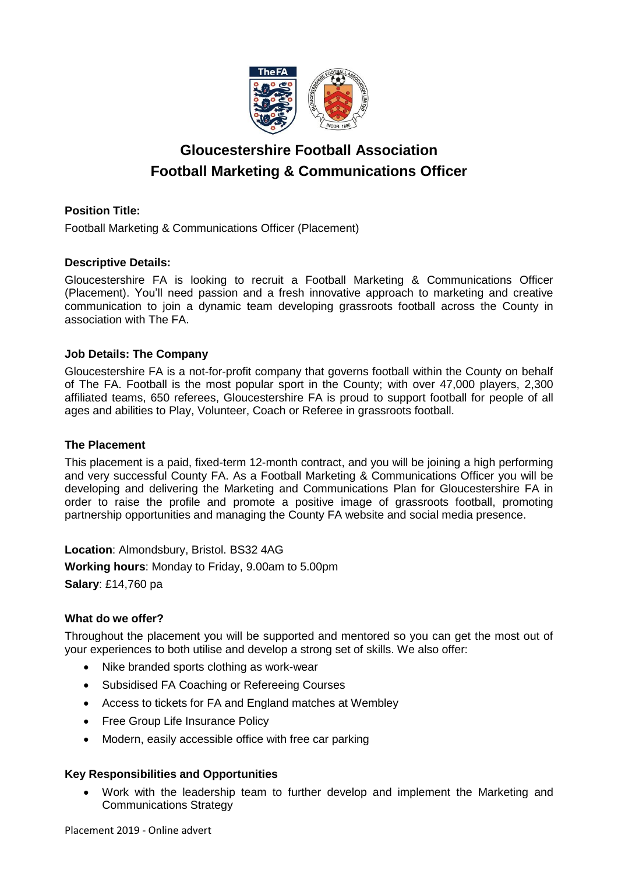

# **Gloucestershire Football Association Football Marketing & Communications Officer**

## **Position Title:**

Football Marketing & Communications Officer (Placement)

## **Descriptive Details:**

Gloucestershire FA is looking to recruit a Football Marketing & Communications Officer (Placement). You'll need passion and a fresh innovative approach to marketing and creative communication to join a dynamic team developing grassroots football across the County in association with The FA.

## **Job Details: The Company**

Gloucestershire FA is a not-for-profit company that governs football within the County on behalf of The FA. Football is the most popular sport in the County; with over 47,000 players, 2,300 affiliated teams, 650 referees, Gloucestershire FA is proud to support football for people of all ages and abilities to Play, Volunteer, Coach or Referee in grassroots football.

## **The Placement**

This placement is a paid, fixed-term 12-month contract, and you will be joining a high performing and very successful County FA. As a Football Marketing & Communications Officer you will be developing and delivering the Marketing and Communications Plan for Gloucestershire FA in order to raise the profile and promote a positive image of grassroots football, promoting partnership opportunities and managing the County FA website and social media presence.

**Location**: Almondsbury, Bristol. BS32 4AG **Working hours**: Monday to Friday, 9.00am to 5.00pm **Salary**: £14,760 pa

## **What do we offer?**

Throughout the placement you will be supported and mentored so you can get the most out of your experiences to both utilise and develop a strong set of skills. We also offer:

- Nike branded sports clothing as work-wear
- Subsidised FA Coaching or Refereeing Courses
- Access to tickets for FA and England matches at Wembley
- Free Group Life Insurance Policy
- Modern, easily accessible office with free car parking

## **Key Responsibilities and Opportunities**

 Work with the leadership team to further develop and implement the Marketing and Communications Strategy